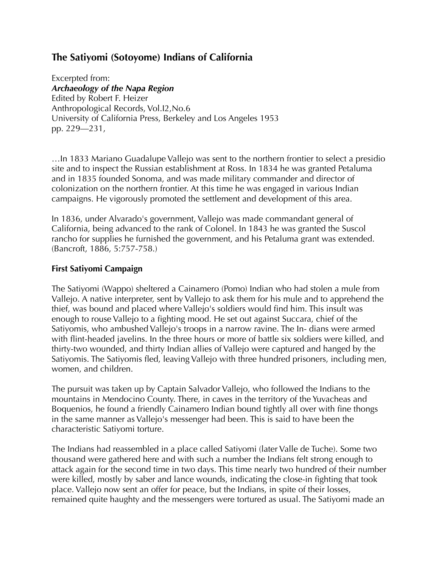# **The Satiyomi (Sotoyome) Indians of California**

Excerpted from: *Archaeology of the Napa Region*  Edited by Robert F. Heizer Anthropological Records, Vol.I2,No.6 University of California Press, Berkeley and Los Angeles 1953 pp. 229—231,

…In 1833 Mariano Guadalupe Vallejo was sent to the northern frontier to select a presidio site and to inspect the Russian establishment at Ross. In 1834 he was granted Petaluma and in 1835 founded Sonoma, and was made military commander and director of colonization on the northern frontier. At this time he was engaged in various Indian campaigns. He vigorously promoted the settlement and development of this area.

In 1836, under Alvarado's government, Vallejo was made commandant general of California, being advanced to the rank of Colonel. In 1843 he was granted the Suscol rancho for supplies he furnished the government, and his Petaluma grant was extended. (Bancroft, 1886, 5:757-758.)

## **First Satiyomi Campaign**

The Satiyomi (Wappo) sheltered a Cainamero (Pomo) Indian who had stolen a mule from Vallejo. A native interpreter, sent by Vallejo to ask them for his mule and to apprehend the thief, was bound and placed where Vallejo's soldiers would find him. This insult was enough to rouse Vallejo to a fighting mood. He set out against Succara, chief of the Satiyomis, who ambushed Vallejo's troops in a narrow ravine. The In- dians were armed with flint-headed javelins. In the three hours or more of battle six soldiers were killed, and thirty-two wounded, and thirty Indian allies of Vallejo were captured and hanged by the Satiyomis. The Satiyomis fled, leaving Vallejo with three hundred prisoners, including men, women, and children.

The pursuit was taken up by Captain Salvador Vallejo, who followed the Indians to the mountains in Mendocino County. There, in caves in the territory of the Yuvacheas and Boquenios, he found a friendly Cainamero Indian bound tightly all over with fine thongs in the same manner as Vallejo's messenger had been. This is said to have been the characteristic Satiyomi torture.

The Indians had reassembled in a place called Satiyomi (later Valle de Tuche). Some two thousand were gathered here and with such a number the Indians felt strong enough to attack again for the second time in two days. This time nearly two hundred of their number were killed, mostly by saber and lance wounds, indicating the close-in fighting that took place. Vallejo now sent an offer for peace, but the Indians, in spite of their losses, remained quite haughty and the messengers were tortured as usual. The Satiyomi made an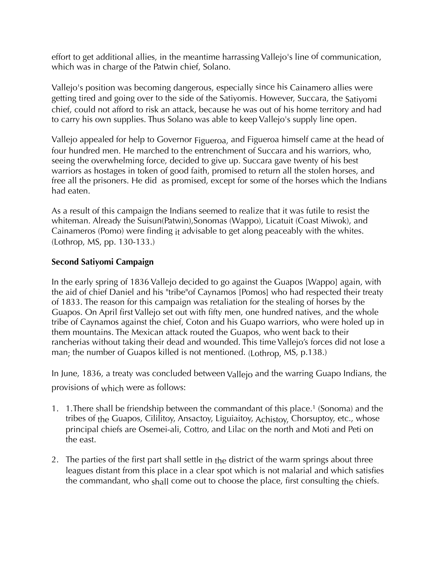effort to get additional allies, in the meantime harrassing Vallejo's line of communication, which was in charge of the Patwin chief, Solano.

Vallejo's position was becoming dangerous, especially since his Cainamero allies were getting tired and going over to the side of the Satiyomis. However, Succara, the Satiyomi chief, could not afford to risk an attack, because he was out of his home territory and had to carry his own supplies. Thus Solano was able to keep Vallejo's supply line open.

Vallejo appealed for help to Governor Figueroa, and Figueroa himself came at the head of four hundred men. He marched to the entrenchment of Succara and his warriors, who, seeing the overwhelming force, decided to give up. Succara gave twenty of his best warriors as hostages in token of good faith, promised to return all the stolen horses, and free all the prisoners. He did as promised, except for some of the horses which the Indians had eaten.

As a result of this campaign the Indians seemed to realize that it was futile to resist the whiteman. Already the Suisun(Patwin),Sonomas (Wappo), Licatuit (Coast Miwok), and Cainameros (Pomo) were finding it advisable to get along peaceably with the whites. (Lothrop, MS, pp. 130-133.)

### **Second Satiyomi Campaign**

In the early spring of 1836 Vallejo decided to go against the Guapos [Wappo] again, with the aid of chief Daniel and his "tribe"of Caynamos [Pomos] who had respected their treaty of 1833. The reason for this campaign was retaliation for the stealing of horses by the Guapos. On April first Vallejo set out with fifty men, one hundred natives, and the whole tribe of Caynamos against the chief, Coton and his Guapo warriors, who were holed up in them mountains. The Mexican attack routed the Guapos, who went back to their rancherias without taking their dead and wounded. This time Vallejo's forces did not lose a man; the number of Guapos killed is not mentioned. (Lothrop, MS, p.138.)

In June, 1836, a treaty was concluded between Vallejo and the warring Guapo Indians, the provisions of which were as follows:

- 1. 1.There shall be friendship between the commandant of this place.1 (Sonoma) and the tribes of the Guapos, Cililitoy, Ansactoy, Liguiaitoy, Achistoy, Chorsuptoy, etc., whose principal chiefs are Osemei-ali, Cottro, and Lilac on the north and Moti and Peti on the east.
- 2. The parties of the first part shall settle in the district of the warm springs about three leagues distant from this place in a clear spot which is not malarial and which satisfies the commandant, who shall come out to choose the place, first consulting the chiefs.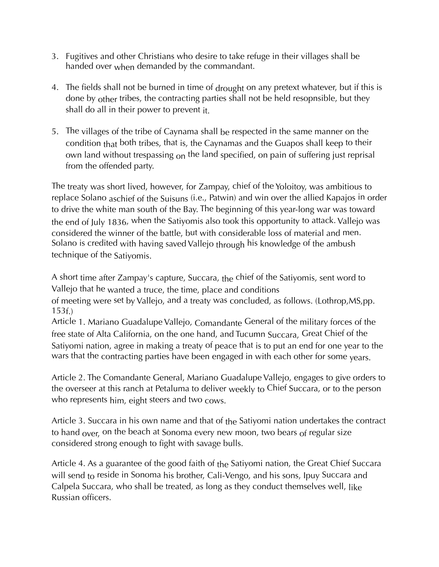- 3. Fugitives and other Christians who desire to take refuge in their villages shall be handed over when demanded by the commandant.
- 4. The fields shall not be burned in time of drought on any pretext whatever, but if this is done by other tribes, the contracting parties shall not be held resopnsible, but they shall do all in their power to prevent it.
- 5. The villages of the tribe of Caynama shall be respected in the same manner on the condition that both tribes, that is, the Caynamas and the Guapos shall keep to their own land without trespassing  $_{0}$  the land specified, on pain of suffering just reprisal from the offended party.

The treaty was short lived, however, for Zampay, chief of the Yoloitoy, was ambitious to replace Solano aschief of the Suisuns (i.e., Patwin) and win over the allied Kapajos in order to drive the white man south of the Bay. The beginning of this year-long war was toward the end of July 1836, when the Satiyomis also took this opportunity to attack. Vallejo was considered the winner of the battle, but with considerable loss of material and men. Solano is credited with having saved Vallejo through his knowledge of the ambush technique of the Satiyomis.

A short time after Zampay's capture, Succara, the chief of the Satiyomis, sent word to Vallejo that he wanted a truce, the time, place and conditions

of meeting were set by Vallejo, and a treaty was concluded, as follows. (Lothrop,MS,pp. 153f.)

Article 1. Mariano Guadalupe Vallejo, Comandante General of the military forces of the free state of Alta California, on the one hand, and Tucumn Succara, Great Chief of the Satiyomi nation, agree in making a treaty of peace that is to put an end for one year to the wars that the contracting parties have been engaged in with each other for some years.

Article 2. The Comandante General, Mariano Guadalupe Vallejo, engages to give orders to the overseer at this ranch at Petaluma to deliver weekly to Chief Succara, or to the person who represents him, eight steers and two cows.

Article 3. Succara in his own name and that of the Satiyomi nation undertakes the contract to hand  $_{\text{over}}$ , on the beach at Sonoma every new moon, two bears of regular size considered strong enough to fight with savage bulls.

Article 4. As a guarantee of the good faith of the Satiyomi nation, the Great Chief Succara will send to reside in Sonoma his brother, Cali-Vengo, and his sons, Ipuy Succara and Calpela Succara, who shall be treated, as long as they conduct themselves well, like Russian officers.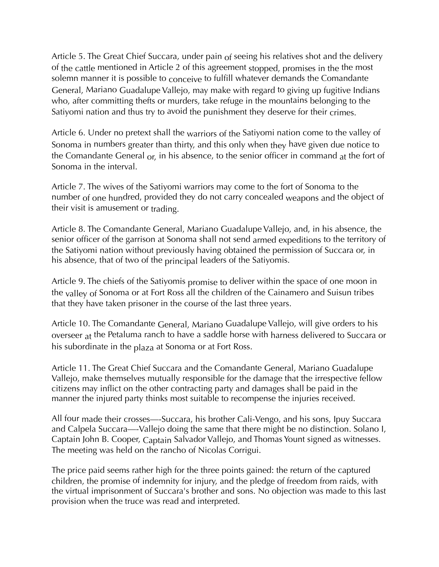Article 5. The Great Chief Succara, under pain  $of$  seeing his relatives shot and the delivery of the cattle mentioned in Article 2 of this agreement stopped, promises in the the most solemn manner it is possible to conceive to fulfill whatever demands the Comandante General, Mariano Guadalupe Vallejo, may make with regard to giving up fugitive Indians who, after committing thefts or murders, take refuge in the mountains belonging to the Satiyomi nation and thus try to avoid the punishment they deserve for their crimes.

Article 6. Under no pretext shall the warriors of the Satiyomi nation come to the valley of Sonoma in numbers greater than thirty, and this only when they have given due notice to the Comandante General  $_{\text{or}}$ , in his absence, to the senior officer in command at the fort of Sonoma in the interval.

Article 7. The wives of the Satiyomi warriors may come to the fort of Sonoma to the number of one hundred, provided they do not carry concealed weapons and the object of their visit is amusement or trading.

Article 8. The Comandante General, Mariano Guadalupe Vallejo, and, in his absence, the senior officer of the garrison at Sonoma shall not send armed expeditions to the territory of the Satiyomi nation without previously having obtained the permission of Succara or, in his absence, that of two of the principal leaders of the Satiyomis.

Article 9. The chiefs of the Satiyomis promise to deliver within the space of one moon in the valley of Sonoma or at Fort Ross all the children of the Cainamero and Suisun tribes that they have taken prisoner in the course of the last three years.

Article 10. The Comandante General, Mariano Guadalupe Vallejo, will give orders to his overseer at the Petaluma ranch to have a saddle horse with harness delivered to Succara or his subordinate in the plaza at Sonoma or at Fort Ross.

Article 11. The Great Chief Succara and the Comandante General, Mariano Guadalupe Vallejo, make themselves mutually responsible for the damage that the irrespective fellow citizens may inflict on the other contracting party and damages shall be paid in the manner the injured party thinks most suitable to recompense the injuries received.

All four made their crosses—-Succara, his brother Cali-Vengo, and his sons, Ipuy Succara and Calpela Succara—-Vallejo doing the same that there might be no distinction. Solano I, Captain John B. Cooper, Captain Salvador Vallejo, and Thomas Yount signed as witnesses. The meeting was held on the rancho of Nicolas Corrigui.

The price paid seems rather high for the three points gained: the return of the captured children, the promise of indemnity for injury, and the pledge of freedom from raids, with the virtual imprisonment of Succara's brother and sons. No objection was made to this last provision when the truce was read and interpreted.